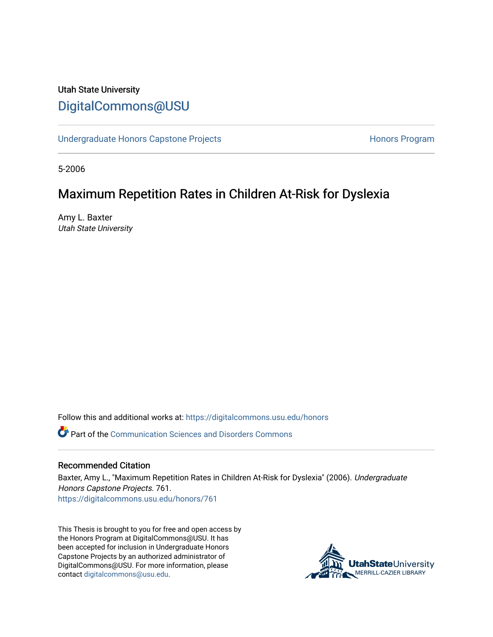# Utah State University [DigitalCommons@USU](https://digitalcommons.usu.edu/)

[Undergraduate Honors Capstone Projects](https://digitalcommons.usu.edu/honors) **Honors Program** Honors Program

5-2006

# Maximum Repetition Rates in Children At-Risk for Dyslexia

Amy L. Baxter Utah State University

Follow this and additional works at: [https://digitalcommons.usu.edu/honors](https://digitalcommons.usu.edu/honors?utm_source=digitalcommons.usu.edu%2Fhonors%2F761&utm_medium=PDF&utm_campaign=PDFCoverPages)

**C** Part of the [Communication Sciences and Disorders Commons](http://network.bepress.com/hgg/discipline/1019?utm_source=digitalcommons.usu.edu%2Fhonors%2F761&utm_medium=PDF&utm_campaign=PDFCoverPages)

#### Recommended Citation

Baxter, Amy L., "Maximum Repetition Rates in Children At-Risk for Dyslexia" (2006). Undergraduate Honors Capstone Projects. 761. [https://digitalcommons.usu.edu/honors/761](https://digitalcommons.usu.edu/honors/761?utm_source=digitalcommons.usu.edu%2Fhonors%2F761&utm_medium=PDF&utm_campaign=PDFCoverPages)

This Thesis is brought to you for free and open access by the Honors Program at DigitalCommons@USU. It has been accepted for inclusion in Undergraduate Honors Capstone Projects by an authorized administrator of DigitalCommons@USU. For more information, please contact [digitalcommons@usu.edu](mailto:digitalcommons@usu.edu).

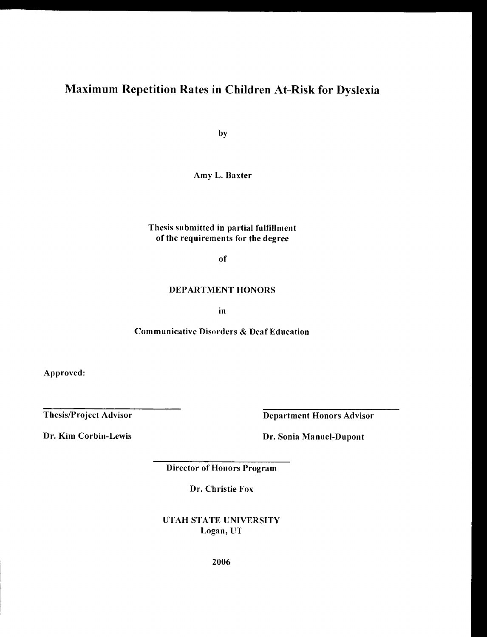# Maximum Repetition Rates in Children At-Risk for Dyslexia

by

Amy L. Baxter

#### Thesis submitted in partial fulfillment of the requirements for the degree

of

#### DEPARTMENT HONORS

in

## Communicative Disorders & Deaf Education

Approved:

Thesis/Project Advisor

Dr. Kim Corbin-Lewis

Department Honors Advisor

Dr. Sonia Manuel-Dupont

Director of Honors Program

Dr. Christie Fox

UTAH STATE UNIVERSITY Logan, UT

2006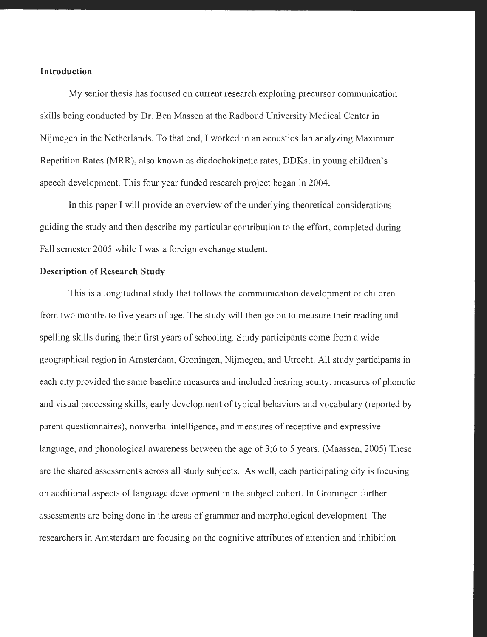#### **Introduction**

My senior thesis has focused on current research exploring precursor communication skills being conducted by Dr. Ben Massen at the Radboud University Medical Center in Nijmegen in the Netherlands. To that end, I worked in an acoustics lab analyzing Maximum Repetition Rates (MRR), also known as diadochokinetic rates, DDKs, in young children's speech development. This four year funded research project began in 2004.

In this paper I will provide an overview of the underlying theoretical considerations guiding the study and then describe my particular contribution to the effort, completed during Fall semester 2005 while I was a foreign exchange student.

#### **Description of Research Study**

This is a longitudinal study that follows the communication development of children from two months to five years of age. The study will then go on to measure their reading and spelling skills during their first years of schooling. Study participants come from a wide geographical region in Amsterdam, Groningen, Nijmegen, and Utrecht. All study participants in each city provided the same baseline measures and included hearing acuity, measures of phonetic and visual processing skills, early development of typical behaviors and vocabulary (reported by parent questionnaires), nonverbal intelligence, and measures of receptive and expressive language, and phonological awareness between the age of 3:6 to 5 years. (Maassen, 2005) These are the shared assessments across all study subjects. As well, each participating city is focusing on additional aspects of language development in the subject cohort. In Groningen further assessments are being done in the areas of grammar and morphological development. The researchers in Amsterdam are focusing on the cognitive attributes of attention and inhibition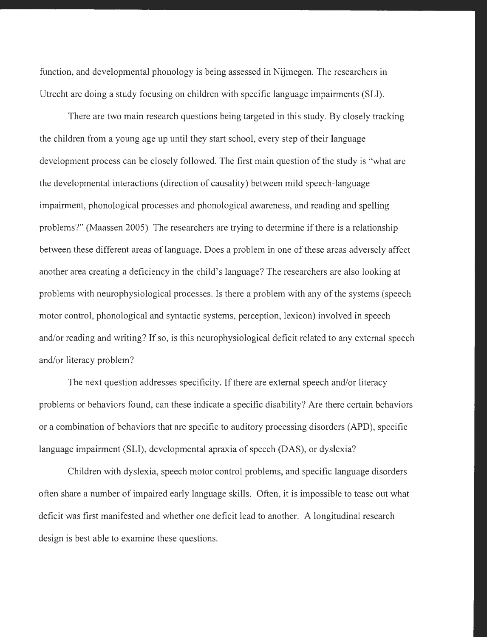function, and developmental phonology is being assessed in Nijmegen. The researchers in Utrecht are doing a study focusing on children with specific language impairments (SLI).

There are two main research questions being targeted in this study. By closely tracking the children from a young age up until they start school, every step of their language development process can be closely followed. The first main question of the study is "what are the developmental interactions (direction of causality) between mild speech-language impairment, phonological processes and phonological awareness, and reading and spelling problems?" (Maassen 2005) The researchers are trying to determine if there is a relationship between these different areas of language. Does a problem in one of these areas adversely affect another area creating a deficiency in the child's language? The researchers are also looking at problems with neurophysiological processes. Is there a problem with any of the systems (speech motor control, phonological and syntactic systems, perception, lexicon) involved in speech and/or reading and writing? If so, is this neurophysiological deficit related to any external speech and/or literacy problem?

The next question addresses specificity. If there are external speech and/or literacy problems or behaviors found, can these indicate a specific disability? Are there certain behaviors or a combination of behaviors that are specific to auditory processing disorders (APD), specific language impairment (SLI), developmental apraxia of speech (DAS), or dyslexia?

Children with dyslexia, speech motor control problems, and specific language disorders often share a number of impaired early language skills. Often, it is impossible to tease out what deficit was first manifested and whether one deficit lead to another. A longitudinal research design is best able to examine these questions.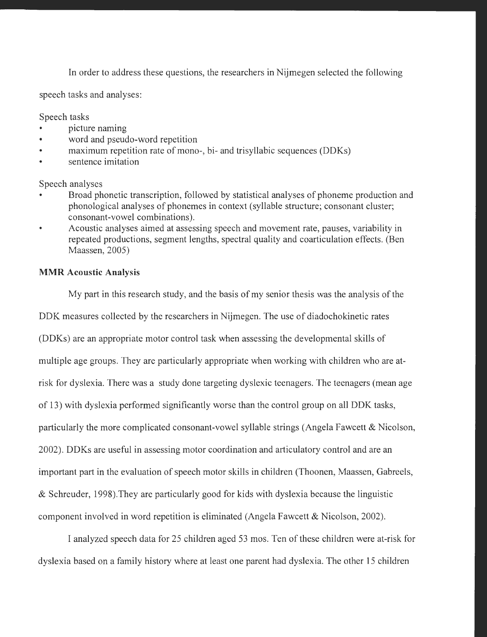In order to address these questions, the researchers in Nijmegen selected the following

speech tasks and analyses:

Speech tasks

- picture naming
- word and pseudo-word repetition
- maximum repetition rate of mono-, bi- and trisyllabic sequences (DDKs)
- sentence imitation

Speech analyses

- Broad phonetic transcription, followed by statistical analyses of phoneme production and phonological analyses of phonemes in context (syllable structure; consonant cluster; consonant-vowel combinations).
- Acoustic analyses aimed at assessing speech and movement rate, pauses, variability in repeated productions, segment lengths, spectral quality and coarticulation effects. (Ben Maassen, 2005)

## **MMR Acoustic Analysis**

My part in this research study, and the basis of my senior thesis was the analysis of the

DDK measures collected by the researchers in Nijmegen. The use of diadochokinetic rates (DDKs) are an appropriate motor control task when assessing the developmental skills of multiple age groups. They are particularly appropriate when working with children who are atrisk for dyslexia. There was a study done targeting dyslexic teenagers. The teenagers (mean age of 13) with dyslexia performed significantly worse than the control group on all DDK tasks, particularly the more complicated consonant-vowel syllable strings (Angela Fawcett & Nicolson, 2002). DDKs are useful in assessing motor coordination and articulatory control and are an important part in the evaluation of speech motor skills in children (Thoonen, Maassen, Gabreels, & Schreuder, 1998).They are particularly good for kids with dyslexia because the linguistic component involved in word repetition is eliminated (Angela Fawcett & Nicolson, 2002).

I analyzed speech data for 25 children aged 53 mos. Ten of these children were at-risk for dyslexia based on a family history where at least one parent had dyslexia. The other 15 children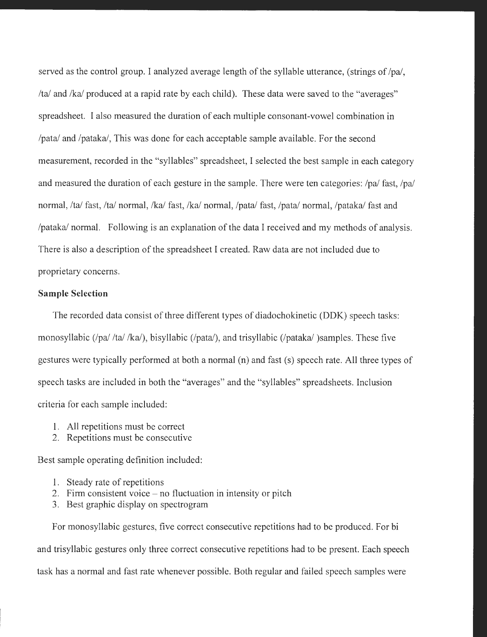served as the control group. I analyzed average length of the syllable utterance, (strings of /pa/, /ta/ and /ka/ produced at a rapid rate by each child). These data were saved to the "averages" spreadsheet. I also measured the duration of each multiple consonant-vowel combination in /pata/ and /pataka/, This was done for each acceptable sample available. For the second measurement, recorded in the "syllables" spreadsheet, I selected the best sample in each category and measured the duration of each gesture in the sample. There were ten categories: /pa/ fast, /pa/ normal, /ta/ fast, /ta/ normal, /ka/ fast, /ka/ normal, /pata/ fast, /pata/ normal, /pataka/ fast and /pataka/ normal. Following is an explanation of the data I received and my methods of analysis. There is also a description of the spreadsheet I created. Raw data are not included due to proprietary concerns.

#### **Sample Selection**

The recorded data consist of three different types of diadochokinetic **(DDK)** speech tasks: monosyllabic (/pa/ /ta/ /ka/), bisyllabic (/pata/), and trisyllabic (/pataka/ )samples. These five gestures were typically performed at both a normal (n) and fast (s) speech rate. All three types of speech tasks are included in both the "averages" and the "syllables" spreadsheets. Inclusion criteria for each sample included:

- 1. All repetitions must be correct
- 2. Repetitions must be consecutive

Best sample operating definition included:

- 1. Steady rate of repetitions
- 2. Firm consistent voice  $-$  no fluctuation in intensity or pitch
- 3. Best graphic display on spectrogram

For monosyllabic gestures, five correct consecutive repetitions had to be produced. For bi and trisyllabic gestures only three correct consecutive repetitions had to be present. Each speech task has a normal and fast rate whenever possible. Both regular and failed speech samples were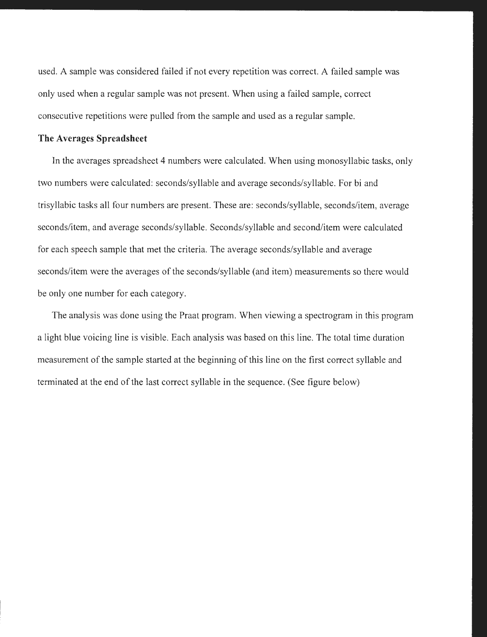used. A sample was considered failed if not every repetition was correct. A failed sample was only used when a regular sample was not present. When using a failed sample, correct consecutive repetitions were pulled from the sample and used as a regular sample.

### **The Averages Spreadsheet**

In the averages spreadsheet 4 numbers were calculated. When using monosyllabic tasks, only two numbers were calculated: seconds/syllable and average seconds/syllable. For bi and trisyllabic tasks all four numbers are present. These are: seconds/syllable, seconds/item, average seconds/item, and average seconds/syllable. Seconds/syllable and second/item were calculated for each speech sample that met the criteria. The average seconds/syllable and average seconds/item were the averages of the seconds/syllable (and item) measurements so there would be only one number for each category.

The analysis was done using the Praat program. When viewing a spectrogram in this program a light blue voicing line is visible. Each analysis was based on this line. The total time duration measurement of the sample started at the beginning of this line on the first correct syllable and terminated at the end of the last correct syllable in the sequence. (See figure below)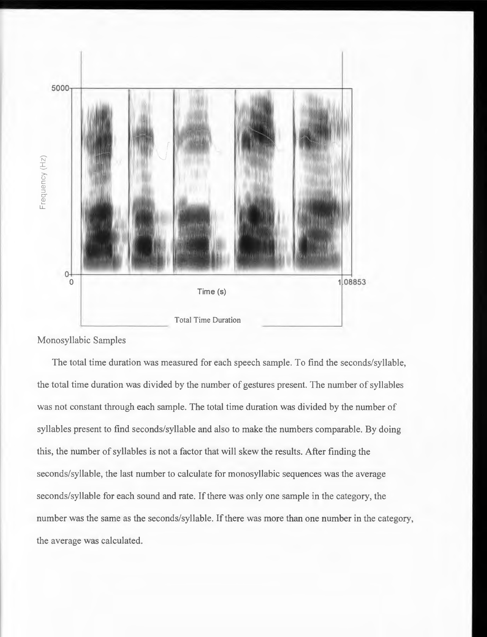



The total time duration was measured for each speech sample. To find the seconds/syllable, the total time duration was divided by the number of gestures present. The number of syllables was not constant through each sample. The total time duration was divided by the number of syllables present to find seconds/syllable and also to make the numbers comparable. By doing this, the number of syllables is not a factor that will skew the results. After finding the seconds/syllable, the last number to calculate for monosyllabic sequences was the average seconds/syllable for each sound and rate. If there was only one sample in the category, the number was the same as the seconds/syllable. If there was more than one number in the category, the average was calculated.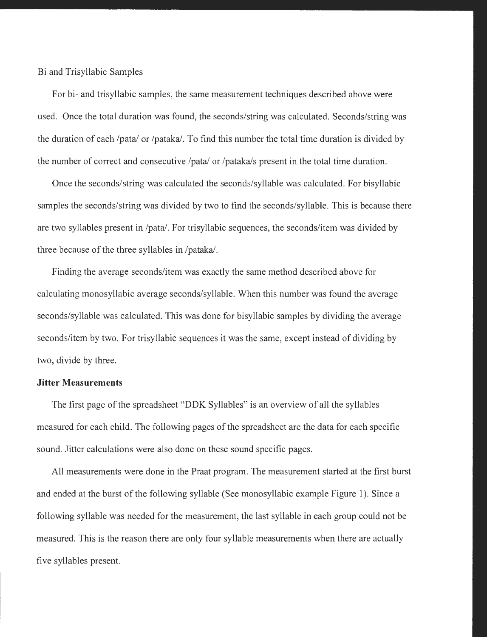Bi and Trisyllabic Samples

For bi- and trisyllabic samples, the same measurement techniques described above were used. Once the total duration was found, the seconds/string was calculated. Seconds/string was the duration of each /pata/ or /pataka/. To find this number the total time duration is divided by the number of correct and consecutive /pata/ or /pataka/s present in the total time duration.

Once the seconds/string was calculated the seconds/syllable was calculated. For bisyllabic samples the seconds/string was divided by two to find the seconds/syllable. This is because there are two syllables present in /pata/. For trisyllabic sequences, the seconds/item was divided by three because of the three syllables in /pataka/.

Finding the average seconds/item was exactly the same method described above for calculating monosyllabic average seconds/syllable. When this number was found the average seconds/syllable was calculated. This was done for bisyllabic samples by dividing the average seconds/item by two. For trisyllabic sequences it was the same, except instead of dividing by two, divide by three.

#### **Jitter Measurements**

The first page of the spreadsheet "DDK Syllables" is an overview of all the syllables measured for each child. The following pages of the spreadsheet are the data for each specific sound. Jitter calculations were also done on these sound specific pages.

All measurements were done in the Praat program. The measurement started at the first burst and ended at the burst of the following syllable (See monosyllabic example Figure 1). Since a following syllable was needed for the measurement, the last syllable in each group could not be measured. This is the reason there are only four syllable measurements when there are actually five syllables present.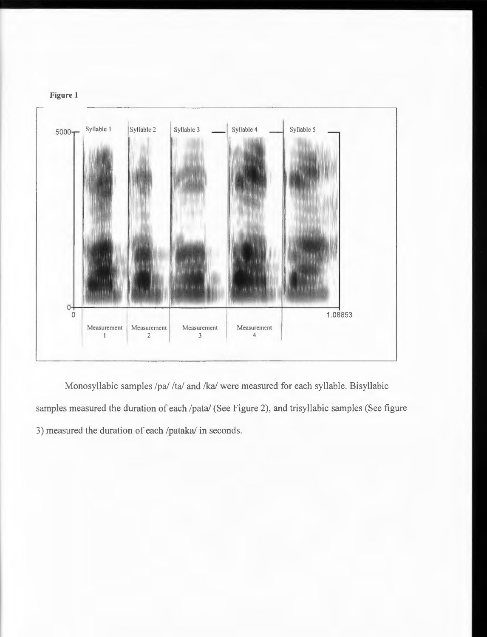

Monosyllabic samples /pa/ /ta/ and /ka/ were measured for each syllable. Bisyllabic samples measured the duration of each /pata/ (See Figure 2), and trisyllabic samples (See figure 3) measured the duration of each /pataka/ in seconds.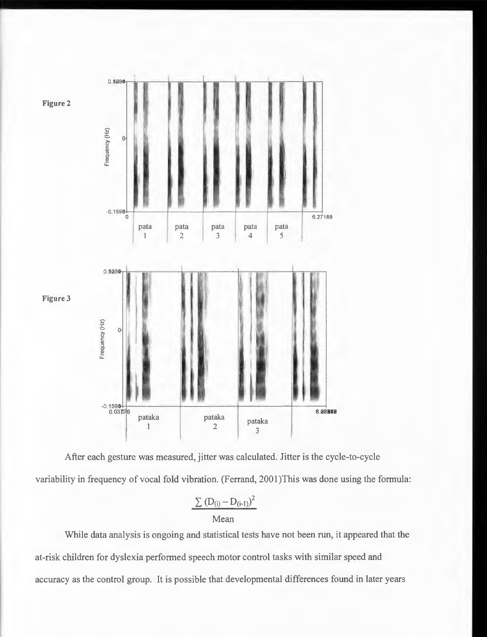



$$
\frac{\sum (D_{(i)} - D_{(i-1)})^2}{Mean}
$$

While data analysis is ongoing and statistical tests have not been run, it appeared that the at-risk children for dyslexia performed speech motor control tasks with similar speed and accuracy as the control group. It is possible that developmental differences found in later years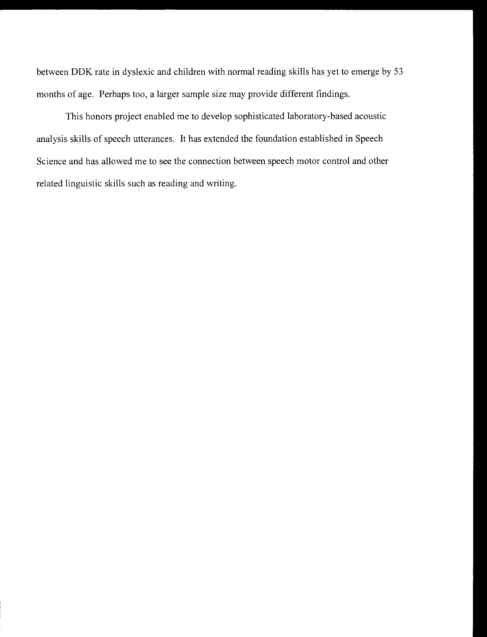between DDK rate in dyslexic and children with normal reading skills has yet to emerge by 53 months of age. Perhaps too, a larger sample size may provide different findings.

This honors project enabled me to develop sophisticated laboratory-based acoustic analysis skills of speech utterances. It has extended the foundation established in Speech Science and has allowed me to see the connection between speech motor control and other related linguistic skills such as reading and writing.